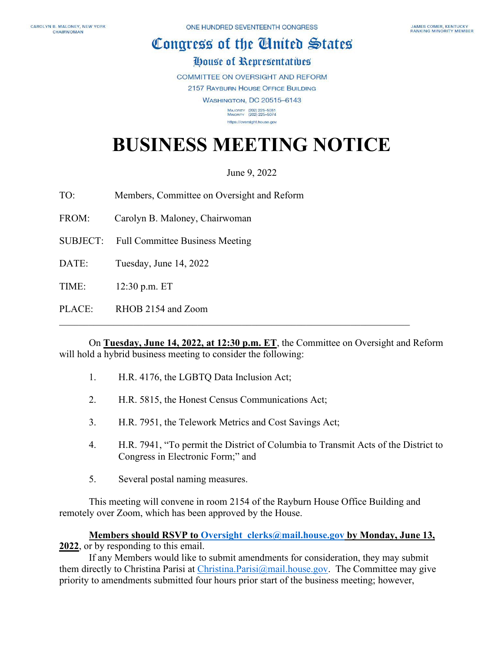## Congress of the Cluited States

## **Oouse of Representatives**

**COMMITTEE ON OVERSIGHT AND REFORM 2157 RAYBURN HOUSE OFFICE BUILDING WASHINGTON, DC 20515-6143** MAJORITY (202) 225-5051<br>MINORITY (202) 225-5074

## **BUSINESS MEETING NOTICE**

https://oversight.house.gov

June 9, 2022

TO: Members, Committee on Oversight and Reform

FROM: Carolyn B. Maloney, Chairwoman

SUBJECT: Full Committee Business Meeting

DATE: Tuesday, June 14, 2022

TIME: 12:30 p.m. ET

PLACE: RHOB 2154 and Zoom

On **Tuesday, June 14, 2022, at 12:30 p.m. ET**, the Committee on Oversight and Reform will hold a hybrid business meeting to consider the following:

- 1. H.R. 4176, the LGBTQ Data Inclusion Act;
- 2. H.R. 5815, the Honest Census Communications Act;
- 3. H.R. 7951, the Telework Metrics and Cost Savings Act;
- 4. H.R. 7941, "To permit the District of Columbia to Transmit Acts of the District to Congress in Electronic Form;" and
- 5. Several postal naming measures.

This meeting will convene in room 2154 of the Rayburn House Office Building and remotely over Zoom, which has been approved by the House.

**Members should RSVP to [Oversight\\_clerks@mail.house.gov](mailto:Oversight_clerks@mail.house.gov) by Monday, June 13, 2022**, or by responding to this email.

If any Members would like to submit amendments for consideration, they may submit them directly to Christina Parisi at [Christina.Parisi@mail.house.gov.](mailto:Christina.Parisi@mail.house.gov) The Committee may give priority to amendments submitted four hours prior start of the business meeting; however,